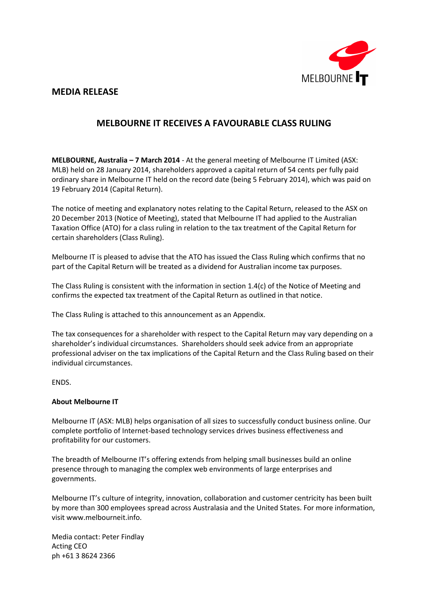

#### **MEDIA RELEASE**

#### **MELBOURNE IT RECEIVES A FAVOURABLE CLASS RULING**

**MELBOURNE, Australia – 7 March 2014** - At the general meeting of Melbourne IT Limited (ASX: MLB) held on 28 January 2014, shareholders approved a capital return of 54 cents per fully paid ordinary share in Melbourne IT held on the record date (being 5 February 2014), which was paid on 19 February 2014 (Capital Return).

The notice of meeting and explanatory notes relating to the Capital Return, released to the ASX on 20 December 2013 (Notice of Meeting), stated that Melbourne IT had applied to the Australian Taxation Office (ATO) for a class ruling in relation to the tax treatment of the Capital Return for certain shareholders (Class Ruling).

Melbourne IT is pleased to advise that the ATO has issued the Class Ruling which confirms that no part of the Capital Return will be treated as a dividend for Australian income tax purposes.

The Class Ruling is consistent with the information in section 1.4(c) of the Notice of Meeting and confirms the expected tax treatment of the Capital Return as outlined in that notice.

The Class Ruling is attached to this announcement as an Appendix.

The tax consequences for a shareholder with respect to the Capital Return may vary depending on a shareholder's individual circumstances. Shareholders should seek advice from an appropriate professional adviser on the tax implications of the Capital Return and the Class Ruling based on their individual circumstances.

ENDS.

#### **About Melbourne IT**

Melbourne IT (ASX: MLB) helps organisation of all sizes to successfully conduct business online. Our complete portfolio of Internet-based technology services drives business effectiveness and profitability for our customers.

The breadth of Melbourne IT's offering extends from helping small businesses build an online presence through to managing the complex web environments of large enterprises and governments.

Melbourne IT's culture of integrity, innovation, collaboration and customer centricity has been built by more than 300 employees spread across Australasia and the United States. For more information, visit www.melbourneit.info.

Media contact: Peter Findlay Acting CEO ph +61 3 8624 2366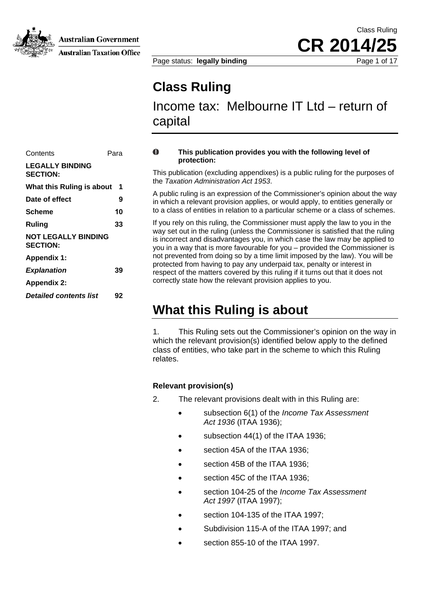

**Australian Taxation Office** 

Page status: **legally binding** Page 1 of 17

# **Class Ruling**

Income tax: Melbourne IT Ltd – return of capital

#### $\bf{0}$ **This publication provides you with the following level of protection:**

This publication (excluding appendixes) is a public ruling for the purposes of the *Taxation Administration Act 1953*.

A public ruling is an expression of the Commissioner's opinion about the way in which a relevant provision applies, or would apply, to entities generally or of entities in relation to a particular scheme or a class of schemes. **[Scheme](#page-3-0) 10** [to a class](#page-3-0) 

<span id="page-1-0"></span>If you rely on this ruling, the Commissioner must apply the law to you in the way set out in the ruling (unless the Commissioner is satisfied that the ruling is incorrect and disadvantages you, in which case the law may be applied to you in a way that is more favourable for you – provided the Commissioner is not prevented from doing so by a time limit imposed by the law). You will be protected from having to pay any underpaid tax, penalty or interest in **Explanation** 39 **39 respect of the matters covered by this ruling if it turns out that it does not** correctly state how the relevant provision applies to you.

# **What this Ruling is about**

1. This Ruling sets out the Commissioner's opinion on the way in which the relevant provision(s) identified below apply to the defined class of entities, who take part in the scheme to which this Ruling relates.

#### **Relevant provision(s)**

- <span id="page-1-1"></span>2. The relevant provisions dealt with in this Ruling are:
	- subsection 6(1) of the *Income Tax Assessment Act 1936* (ITAA 1936);
	- subsection 44(1) of the ITAA 1936;
	- section 45A of the ITAA 1936:
	- section 45B of the ITAA 1936;
	- section 45C of the ITAA 1936:
	- section 104-25 of the *Income Tax Assessment Act 1997* (ITAA 1997);
	- section 104-135 of the ITAA 1997;
	- Subdivision 115-A of the ITAA 1997; and
	- section 855-10 of the ITAA 1997.

| Contents                                      | Para |
|-----------------------------------------------|------|
| <b>LEGALLY BINDING</b><br><b>SECTION:</b>     |      |
| What this Ruling is about                     | 1    |
| Date of effect                                | 9    |
| Scheme                                        | 10   |
| Ruling                                        | 33   |
| <b>NOT LEGALLY BINDING</b><br><b>SECTION:</b> |      |
| <b>Appendix 1:</b>                            |      |
| <b>Explanation</b>                            | 39   |
| <b>Appendix 2:</b>                            |      |
| <b>Detailed contents list</b>                 | 92   |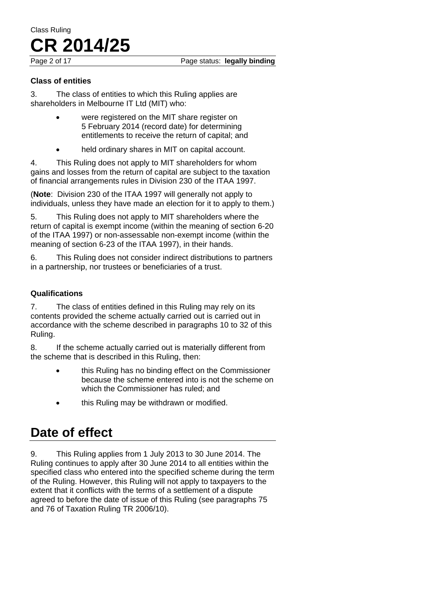Page 2 of 17 **Page status: legally binding** 

#### **Class of entities**

<span id="page-2-0"></span>3. The class of entities to which this Ruling applies are shareholders in Melbourne IT Ltd (MIT) who:

- were registered on the MIT share register on 5 February 2014 (record date) for determining entitlements to receive the return of capital; and
- held ordinary shares in MIT on capital account.

4. This Ruling does not apply to MIT shareholders for whom gains and losses from the return of capital are subject to the taxation of financial arrangements rules in Division 230 of the ITAA 1997.

(**Note**: Division 230 of the ITAA 1997 will generally not apply to individuals, unless they have made an election for it to apply to them.)

5. This Ruling does not apply to MIT shareholders where the return of capital is exempt income (within the meaning of section 6-20 of the ITAA 1997) or non-assessable non-exempt income (within the meaning of section 6-23 of the ITAA 1997), in their hands.

6. This Ruling does not consider indirect distributions to partners in a partnership, nor trustees or beneficiaries of a trust.

#### **Qualifications**

<span id="page-2-1"></span>7. The class of entities defined in this Ruling may rely on its contents provided the scheme actually carried out is carried out in accordance with the scheme described in paragraphs 10 to 32 of this Ruling.

8. If the scheme actually carried out is materially different from the scheme that is described in this Ruling, then:

- this Ruling has no binding effect on the Commissioner because the scheme entered into is not the scheme on which the Commissioner has ruled; and
- this Ruling may be withdrawn or modified.

# **Date of effect**

9. This Ruling applies from 1 July 2013 to 30 June 2014. The Ruling continues to apply after 30 June 2014 to all entities within the specified class who entered into the specified scheme during the term of the Ruling. However, this Ruling will not apply to taxpayers to the extent that it conflicts with the terms of a settlement of a dispute agreed to before the date of issue of this Ruling (see paragraphs 75 and 76 of Taxation Ruling TR 2006/10).

# Class Ruling **CR 2014/25**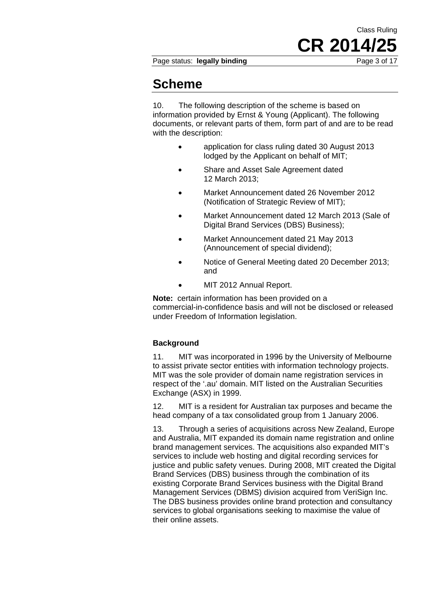Page status: **legally binding** Page 3 of 17

CR 2014/2

Class Ruling

## **Scheme**

<span id="page-3-0"></span>10. The following description of the scheme is based on information provided by Ernst & Young (Applicant). The following documents, or relevant parts of them, form part of and are to be read with the description:

- application for class ruling dated 30 August 2013 lodged by the Applicant on behalf of MIT;
- Share and Asset Sale Agreement dated 12 March 2013;
- Market Announcement dated 26 November 2012 (Notification of Strategic Review of MIT);
- Market Announcement dated 12 March 2013 (Sale of Digital Brand Services (DBS) Business);
- Market Announcement dated 21 May 2013 (Announcement of special dividend);
- Notice of General Meeting dated 20 December 2013; and
- MIT 2012 Annual Report.

**Note:** certain information has been provided on a commercial-in-confidence basis and will not be disclosed or released under Freedom of Information legislation.

#### **Background**

<span id="page-3-1"></span>11. MIT was incorporated in 1996 by the University of Melbourne to assist private sector entities with information technology projects. MIT was the sole provider of domain name registration services in respect of the '.au' domain. MIT listed on the Australian Securities Exchange (ASX) in 1999.

12. MIT is a resident for Australian tax purposes and became the head company of a tax consolidated group from 1 January 2006.

13. Through a series of acquisitions across New Zealand, Europe and Australia, MIT expanded its domain name registration and online brand management services. The acquisitions also expanded MIT's services to include web hosting and digital recording services for justice and public safety venues. During 2008, MIT created the Digital Brand Services (DBS) business through the combination of its existing Corporate Brand Services business with the Digital Brand Management Services (DBMS) division acquired from VeriSign Inc. The DBS business provides online brand protection and consultancy services to global organisations seeking to maximise the value of their online assets.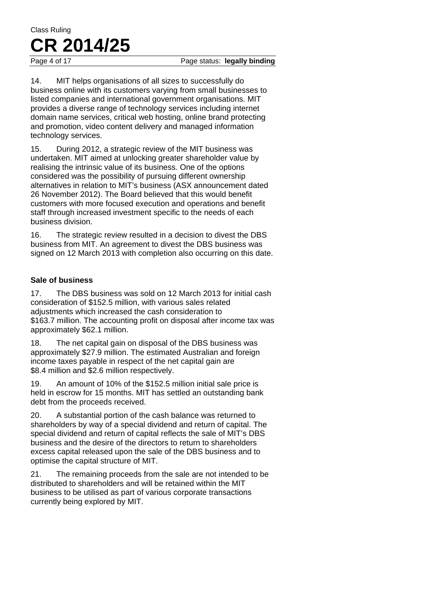#### Page 4 of 17 **Page status: legally binding**

14. MIT helps organisations of all sizes to successfully do business online with its customers varying from small businesses to listed companies and international government organisations. MIT provides a diverse range of technology services including internet domain name services, critical web hosting, online brand protecting and promotion, video content delivery and managed information technology services.

15. During 2012, a strategic review of the MIT business was undertaken. MIT aimed at unlocking greater shareholder value by realising the intrinsic value of its business. One of the options considered was the possibility of pursuing different ownership alternatives in relation to MIT's business (ASX announcement dated 26 November 2012). The Board believed that this would benefit customers with more focused execution and operations and benefit staff through increased investment specific to the needs of each business division.

16. The strategic review resulted in a decision to divest the DBS business from MIT. An agreement to divest the DBS business was signed on 12 March 2013 with completion also occurring on this date.

#### **Sale of business**

<span id="page-4-0"></span>17. The DBS business was sold on 12 March 2013 for initial cash consideration of \$152.5 million, with various sales related adjustments which increased the cash consideration to \$163.7 million. The accounting profit on disposal after income tax was approximately \$62.1 million.

18. The net capital gain on disposal of the DBS business was approximately \$27.9 million. The estimated Australian and foreign income taxes payable in respect of the net capital gain are \$8.4 million and \$2.6 million respectively.

19. An amount of 10% of the \$152.5 million initial sale price is held in escrow for 15 months. MIT has settled an outstanding bank debt from the proceeds received.

20. A substantial portion of the cash balance was returned to shareholders by way of a special dividend and return of capital. The special dividend and return of capital reflects the sale of MIT's DBS business and the desire of the directors to return to shareholders excess capital released upon the sale of the DBS business and to optimise the capital structure of MIT.

21. The remaining proceeds from the sale are not intended to be distributed to shareholders and will be retained within the MIT business to be utilised as part of various corporate transactions currently being explored by MIT.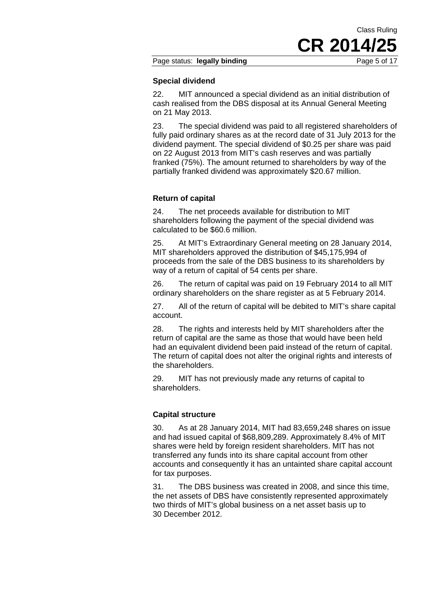#### Page status: **legally binding Page 5 of 17**

#### **Special dividend**

22. MIT announced a special dividend as an initial distribution of cash realised from the DBS disposal at its Annual General Meeting on 21 May 2013.

23. The special dividend was paid to all registered shareholders of fully paid ordinary shares as at the record date of 31 July 2013 for the dividend payment. The special dividend of \$0.25 per share was paid on 22 August 2013 from MIT's cash reserves and was partially franked (75%). The amount returned to shareholders by way of the partially franked dividend was approximately \$20.67 million.

#### **Return of capital**

24. The net proceeds available for distribution to MIT shareholders following the payment of the special dividend was calculated to be \$60.6 million.

25. At MIT's Extraordinary General meeting on 28 January 2014, MIT shareholders approved the distribution of \$45,175,994 of proceeds from the sale of the DBS business to its shareholders by way of a return of capital of 54 cents per share.

26. The return of capital was paid on 19 February 2014 to all MIT ordinary shareholders on the share register as at 5 February 2014.

27. All of the return of capital will be debited to MIT's share capital account.

28. The rights and interests held by MIT shareholders after the return of capital are the same as those that would have been held had an equivalent dividend been paid instead of the return of capital. The return of capital does not alter the original rights and interests of the shareholders.

29. MIT has not previously made any returns of capital to shareholders.

#### **Capital structure**

30. As at 28 January 2014, MIT had 83,659,248 shares on issue and had issued capital of \$68,809,289. Approximately 8.4% of MIT shares were held by foreign resident shareholders. MIT has not transferred any funds into its share capital account from other accounts and consequently it has an untainted share capital account for tax purposes.

31. The DBS business was created in 2008, and since this time, the net assets of DBS have consistently represented approximately two thirds of MIT's global business on a net asset basis up to 30 December 2012.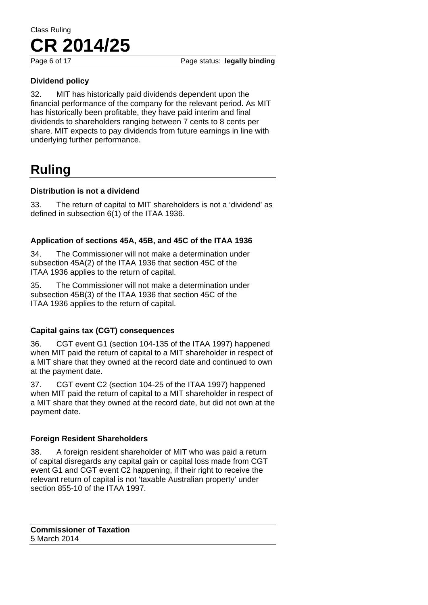Page 6 of 17 **Page status: legally binding** 

#### **Dividend policy**

32. MIT has historically paid dividends dependent upon the financial performance of the company for the relevant period. As MIT has historically been profitable, they have paid interim and final dividends to shareholders ranging between 7 cents to 8 cents per share. MIT expects to pay dividends from future earnings in line with underlying further performance.

# **Ruling**

#### **Distribution is not a dividend**

33. The return of capital to MIT shareholders is not a 'dividend' as defined in subsection 6(1) of the ITAA 1936.

#### **Application of sections 45A, 45B, and 45C of the ITAA 1936**

34. The Commissioner will not make a determination under subsection 45A(2) of the ITAA 1936 that section 45C of the ITAA 1936 applies to the return of capital.

35. The Commissioner will not make a determination under subsection 45B(3) of the ITAA 1936 that section 45C of the ITAA 1936 applies to the return of capital.

#### **Capital gains tax (CGT) consequences**

36. CGT event G1 (section 104-135 of the ITAA 1997) happened when MIT paid the return of capital to a MIT shareholder in respect of a MIT share that they owned at the record date and continued to own at the payment date.

37. CGT event C2 (section 104-25 of the ITAA 1997) happened when MIT paid the return of capital to a MIT shareholder in respect of a MIT share that they owned at the record date, but did not own at the payment date.

#### **Foreign Resident Shareholders**

38. A foreign resident shareholder of MIT who was paid a return of capital disregards any capital gain or capital loss made from CGT event G1 and CGT event C2 happening, if their right to receive the relevant return of capital is not 'taxable Australian property' under section 855-10 of the ITAA 1997.

**Commissioner of Taxation**  5 March 2014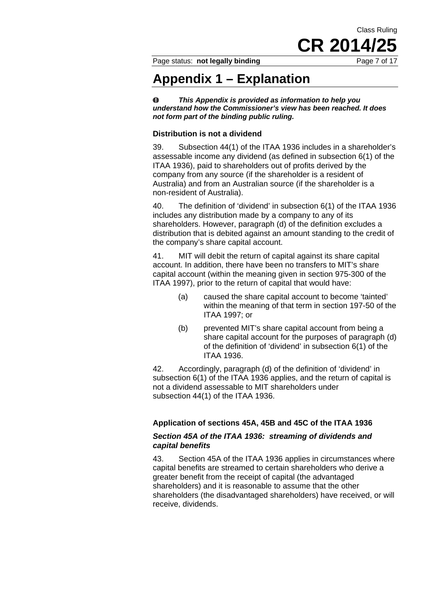Class Ruling **CR 2014** 

Page status: **not legally binding** Page 7 of 17

# **Appendix 1 – Explanation**

*This Appendix is provided as information to help you*   $\bullet$ *understand how the Commissioner's view has been reached. It does not form part of the binding public ruling.* 

#### **Distribution is not a dividend**

39. Subsection 44(1) of the ITAA 1936 includes in a shareholder's assessable income any dividend (as defined in subsection 6(1) of the ITAA 1936), paid to shareholders out of profits derived by the company from any source (if the shareholder is a resident of Australia) and from an Australian source (if the shareholder is a non-resident of Australia).

40. The definition of 'dividend' in subsection 6(1) of the ITAA 1936 includes any distribution made by a company to any of its shareholders. However, paragraph (d) of the definition excludes a distribution that is debited against an amount standing to the credit of the company's share capital account.

41. MIT will debit the return of capital against its share capital account. In addition, there have been no transfers to MIT's share capital account (within the meaning given in section 975-300 of the ITAA 1997), prior to the return of capital that would have:

- (a) caused the share capital account to become 'tainted' within the meaning of that term in section 197-50 of the ITAA 1997; or
- (b) prevented MIT's share capital account from being a share capital account for the purposes of paragraph (d) of the definition of 'dividend' in subsection 6(1) of the ITAA 1936.

42. Accordingly, paragraph (d) of the definition of 'dividend' in subsection 6(1) of the ITAA 1936 applies, and the return of capital is not a dividend assessable to MIT shareholders under subsection 44(1) of the ITAA 1936.

#### **Application of sections 45A, 45B and 45C of the ITAA 1936**

#### *Section 45A of the ITAA 1936: streaming of dividends and capital benefits*

43. Section 45A of the ITAA 1936 applies in circumstances where capital benefits are streamed to certain shareholders who derive a greater benefit from the receipt of capital (the advantaged shareholders) and it is reasonable to assume that the other shareholders (the disadvantaged shareholders) have received, or will receive, dividends.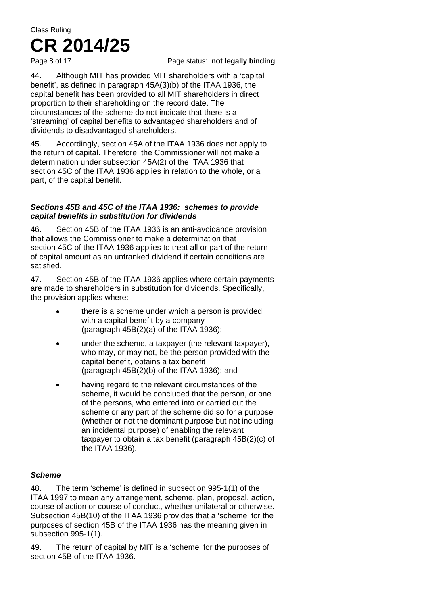Page 8 of 17 **Page status: not legally binding** 

44. Although MIT has provided MIT shareholders with a 'capital benefit', as defined in paragraph 45A(3)(b) of the ITAA 1936, the capital benefit has been provided to all MIT shareholders in direct proportion to their shareholding on the record date. The circumstances of the scheme do not indicate that there is a 'streaming' of capital benefits to advantaged shareholders and of dividends to disadvantaged shareholders.

45. Accordingly, section 45A of the ITAA 1936 does not apply to the return of capital. Therefore, the Commissioner will not make a determination under subsection 45A(2) of the ITAA 1936 that section 45C of the ITAA 1936 applies in relation to the whole, or a part, of the capital benefit.

#### *Sections 45B and 45C of the ITAA 1936: schemes to provide capital benefits in substitution for dividends*

46. Section 45B of the ITAA 1936 is an anti-avoidance provision that allows the Commissioner to make a determination that section 45C of the ITAA 1936 applies to treat all or part of the return of capital amount as an unfranked dividend if certain conditions are satisfied.

47. Section 45B of the ITAA 1936 applies where certain payments are made to shareholders in substitution for dividends. Specifically, the provision applies where:

- there is a scheme under which a person is provided with a capital benefit by a company (paragraph  $45B(2)(a)$  of the ITAA 1936);
- under the scheme, a taxpayer (the relevant taxpayer), who may, or may not, be the person provided with the capital benefit, obtains a tax benefit (paragraph 45B(2)(b) of the ITAA 1936); and
- having regard to the relevant circumstances of the scheme, it would be concluded that the person, or one of the persons, who entered into or carried out the scheme or any part of the scheme did so for a purpose (whether or not the dominant purpose but not including an incidental purpose) of enabling the relevant taxpayer to obtain a tax benefit (paragraph 45B(2)(c) of the ITAA 1936).

#### *Scheme*

48. The term 'scheme' is defined in subsection 995-1(1) of the ITAA 1997 to mean any arrangement, scheme, plan, proposal, action, course of action or course of conduct, whether unilateral or otherwise. Subsection 45B(10) of the ITAA 1936 provides that a 'scheme' for the purposes of section 45B of the ITAA 1936 has the meaning given in subsection 995-1(1).

49. The return of capital by MIT is a 'scheme' for the purposes of section 45B of the ITAA 1936.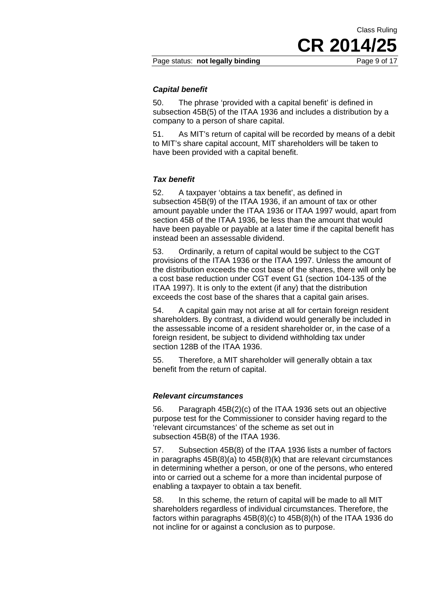CR 2014/2

Class Ruling

#### *Capital benefit*

50. The phrase 'provided with a capital benefit' is defined in subsection 45B(5) of the ITAA 1936 and includes a distribution by a company to a person of share capital.

51. As MIT's return of capital will be recorded by means of a debit to MIT's share capital account, MIT shareholders will be taken to have been provided with a capital benefit.

#### *Tax benefit*

52. A taxpayer 'obtains a tax benefit', as defined in subsection 45B(9) of the ITAA 1936, if an amount of tax or other amount payable under the ITAA 1936 or ITAA 1997 would, apart from section 45B of the ITAA 1936, be less than the amount that would have been payable or payable at a later time if the capital benefit has instead been an assessable dividend.

53. Ordinarily, a return of capital would be subject to the CGT provisions of the ITAA 1936 or the ITAA 1997. Unless the amount of the distribution exceeds the cost base of the shares, there will only be a cost base reduction under CGT event G1 (section 104-135 of the ITAA 1997). It is only to the extent (if any) that the distribution exceeds the cost base of the shares that a capital gain arises.

54. A capital gain may not arise at all for certain foreign resident shareholders. By contrast, a dividend would generally be included in the assessable income of a resident shareholder or, in the case of a foreign resident, be subject to dividend withholding tax under section 128B of the ITAA 1936.

55. Therefore, a MIT shareholder will generally obtain a tax benefit from the return of capital.

#### *Relevant circumstances*

56. Paragraph 45B(2)(c) of the ITAA 1936 sets out an objective purpose test for the Commissioner to consider having regard to the 'relevant circumstances' of the scheme as set out in subsection 45B(8) of the ITAA 1936.

57. Subsection 45B(8) of the ITAA 1936 lists a number of factors in paragraphs 45B(8)(a) to 45B(8)(k) that are relevant circumstances in determining whether a person, or one of the persons, who entered into or carried out a scheme for a more than incidental purpose of enabling a taxpayer to obtain a tax benefit.

58. In this scheme, the return of capital will be made to all MIT shareholders regardless of individual circumstances. Therefore, the factors within paragraphs 45B(8)(c) to 45B(8)(h) of the ITAA 1936 do not incline for or against a conclusion as to purpose.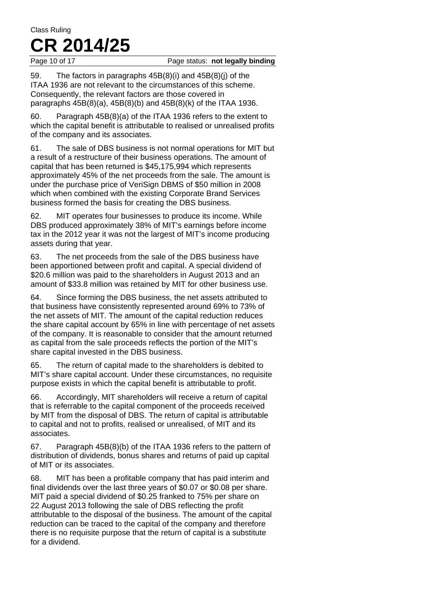Page 10 of 17 Page status: **not legally binding** 

59. The factors in paragraphs 45B(8)(i) and 45B(8)(j) of the ITAA 1936 are not relevant to the circumstances of this scheme. Consequently, the relevant factors are those covered in paragraphs 45B(8)(a), 45B(8)(b) and 45B(8)(k) of the ITAA 1936.

60. Paragraph 45B(8)(a) of the ITAA 1936 refers to the extent to which the capital benefit is attributable to realised or unrealised profits of the company and its associates.

61. The sale of DBS business is not normal operations for MIT but a result of a restructure of their business operations. The amount of capital that has been returned is \$45,175,994 which represents approximately 45% of the net proceeds from the sale. The amount is under the purchase price of VeriSign DBMS of \$50 million in 2008 which when combined with the existing Corporate Brand Services business formed the basis for creating the DBS business.

62. MIT operates four businesses to produce its income. While DBS produced approximately 38% of MIT's earnings before income tax in the 2012 year it was not the largest of MIT's income producing assets during that year.

63. The net proceeds from the sale of the DBS business have been apportioned between profit and capital. A special dividend of \$20.6 million was paid to the shareholders in August 2013 and an amount of \$33.8 million was retained by MIT for other business use.

64. Since forming the DBS business, the net assets attributed to that business have consistently represented around 69% to 73% of the net assets of MIT. The amount of the capital reduction reduces the share capital account by 65% in line with percentage of net assets of the company. It is reasonable to consider that the amount returned as capital from the sale proceeds reflects the portion of the MIT's share capital invested in the DBS business.

65. The return of capital made to the shareholders is debited to MIT's share capital account. Under these circumstances, no requisite purpose exists in which the capital benefit is attributable to profit.

66. Accordingly, MIT shareholders will receive a return of capital that is referrable to the capital component of the proceeds received by MIT from the disposal of DBS. The return of capital is attributable to capital and not to profits, realised or unrealised, of MIT and its associates.

67. Paragraph 45B(8)(b) of the ITAA 1936 refers to the pattern of distribution of dividends, bonus shares and returns of paid up capital of MIT or its associates.

68. MIT has been a profitable company that has paid interim and final dividends over the last three years of \$0.07 or \$0.08 per share. MIT paid a special dividend of \$0.25 franked to 75% per share on 22 August 2013 following the sale of DBS reflecting the profit attributable to the disposal of the business. The amount of the capital reduction can be traced to the capital of the company and therefore there is no requisite purpose that the return of capital is a substitute for a dividend.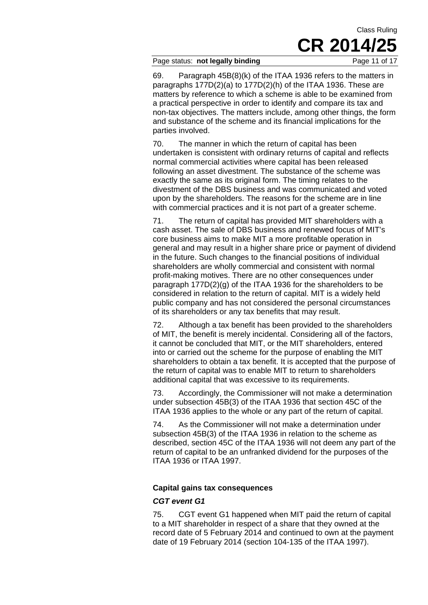#### Page status: **not legally binding** Page 11 of 17

69. Paragraph 45B(8)(k) of the ITAA 1936 refers to the matters in paragraphs 177D(2)(a) to 177D(2)(h) of the ITAA 1936. These are matters by reference to which a scheme is able to be examined from a practical perspective in order to identify and compare its tax and non-tax objectives. The matters include, among other things, the form and substance of the scheme and its financial implications for the parties involved.

70. The manner in which the return of capital has been undertaken is consistent with ordinary returns of capital and reflects normal commercial activities where capital has been released following an asset divestment. The substance of the scheme was exactly the same as its original form. The timing relates to the divestment of the DBS business and was communicated and voted upon by the shareholders. The reasons for the scheme are in line with commercial practices and it is not part of a greater scheme.

71. The return of capital has provided MIT shareholders with a cash asset. The sale of DBS business and renewed focus of MIT's core business aims to make MIT a more profitable operation in general and may result in a higher share price or payment of dividend in the future. Such changes to the financial positions of individual shareholders are wholly commercial and consistent with normal profit-making motives. There are no other consequences under paragraph 177D(2)(g) of the ITAA 1936 for the shareholders to be considered in relation to the return of capital. MIT is a widely held public company and has not considered the personal circumstances of its shareholders or any tax benefits that may result.

72. Although a tax benefit has been provided to the shareholders of MIT, the benefit is merely incidental. Considering all of the factors, it cannot be concluded that MIT, or the MIT shareholders, entered into or carried out the scheme for the purpose of enabling the MIT shareholders to obtain a tax benefit. It is accepted that the purpose of the return of capital was to enable MIT to return to shareholders additional capital that was excessive to its requirements.

73. Accordingly, the Commissioner will not make a determination under subsection 45B(3) of the ITAA 1936 that section 45C of the ITAA 1936 applies to the whole or any part of the return of capital.

74. As the Commissioner will not make a determination under subsection 45B(3) of the ITAA 1936 in relation to the scheme as described, section 45C of the ITAA 1936 will not deem any part of the return of capital to be an unfranked dividend for the purposes of the ITAA 1936 or ITAA 1997.

#### **Capital gains tax consequences**

#### *CGT event G1*

75. CGT event G1 happened when MIT paid the return of capital to a MIT shareholder in respect of a share that they owned at the record date of 5 February 2014 and continued to own at the payment date of 19 February 2014 (section 104-135 of the ITAA 1997).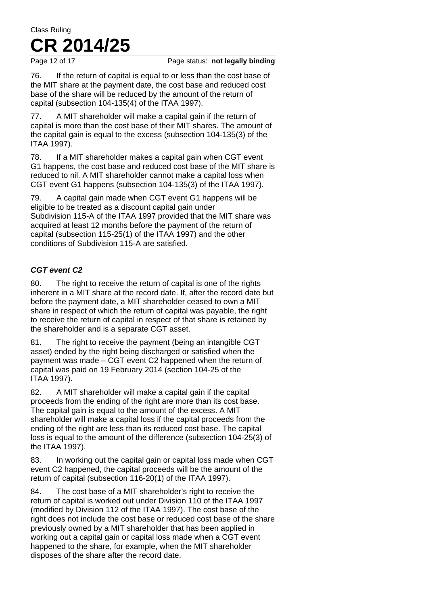Page 12 of 17 **Page status: not legally binding** 

76. If the return of capital is equal to or less than the cost base of the MIT share at the payment date, the cost base and reduced cost base of the share will be reduced by the amount of the return of capital (subsection 104-135(4) of the ITAA 1997).

77. A MIT shareholder will make a capital gain if the return of capital is more than the cost base of their MIT shares. The amount of the capital gain is equal to the excess (subsection 104-135(3) of the ITAA 1997).

78. If a MIT shareholder makes a capital gain when CGT event G1 happens, the cost base and reduced cost base of the MIT share is reduced to nil. A MIT shareholder cannot make a capital loss when CGT event G1 happens (subsection 104-135(3) of the ITAA 1997).

79. A capital gain made when CGT event G1 happens will be eligible to be treated as a discount capital gain under Subdivision 115-A of the ITAA 1997 provided that the MIT share was acquired at least 12 months before the payment of the return of capital (subsection 115-25(1) of the ITAA 1997) and the other conditions of Subdivision 115-A are satisfied.

#### *CGT event C2*

80. The right to receive the return of capital is one of the rights inherent in a MIT share at the record date. If, after the record date but before the payment date, a MIT shareholder ceased to own a MIT share in respect of which the return of capital was payable, the right to receive the return of capital in respect of that share is retained by the shareholder and is a separate CGT asset.

81. The right to receive the payment (being an intangible CGT asset) ended by the right being discharged or satisfied when the payment was made – CGT event C2 happened when the return of capital was paid on 19 February 2014 (section 104-25 of the ITAA 1997).

82. A MIT shareholder will make a capital gain if the capital proceeds from the ending of the right are more than its cost base. The capital gain is equal to the amount of the excess. A MIT shareholder will make a capital loss if the capital proceeds from the ending of the right are less than its reduced cost base. The capital loss is equal to the amount of the difference (subsection 104-25(3) of the ITAA 1997).

83. In working out the capital gain or capital loss made when CGT event C2 happened, the capital proceeds will be the amount of the return of capital (subsection 116-20(1) of the ITAA 1997).

84. The cost base of a MIT shareholder's right to receive the return of capital is worked out under Division 110 of the ITAA 1997 (modified by Division 112 of the ITAA 1997). The cost base of the right does not include the cost base or reduced cost base of the share previously owned by a MIT shareholder that has been applied in working out a capital gain or capital loss made when a CGT event happened to the share, for example, when the MIT shareholder disposes of the share after the record date.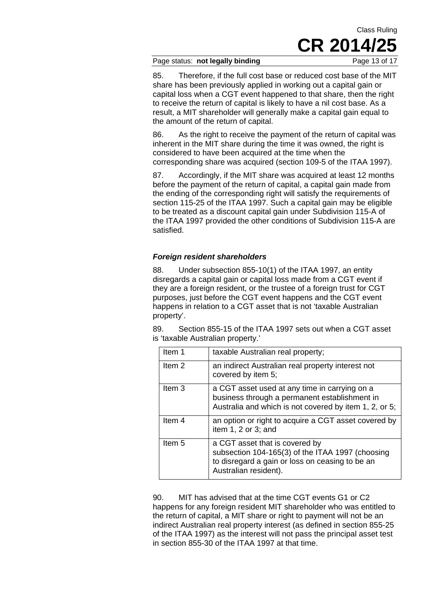#### Page status: **not legally binding** Page 13 of 17

85. Therefore, if the full cost base or reduced cost base of the MIT share has been previously applied in working out a capital gain or capital loss when a CGT event happened to that share, then the right to receive the return of capital is likely to have a nil cost base. As a result, a MIT shareholder will generally make a capital gain equal to the amount of the return of capital.

86. As the right to receive the payment of the return of capital was inherent in the MIT share during the time it was owned, the right is considered to have been acquired at the time when the corresponding share was acquired (section 109-5 of the ITAA 1997).

87. Accordingly, if the MIT share was acquired at least 12 months before the payment of the return of capital, a capital gain made from the ending of the corresponding right will satisfy the requirements of section 115-25 of the ITAA 1997. Such a capital gain may be eligible to be treated as a discount capital gain under Subdivision 115-A of the ITAA 1997 provided the other conditions of Subdivision 115-A are satisfied.

#### *Foreign resident shareholders*

88. Under subsection 855-10(1) of the ITAA 1997, an entity disregards a capital gain or capital loss made from a CGT event if they are a foreign resident, or the trustee of a foreign trust for CGT purposes, just before the CGT event happens and the CGT event happens in relation to a CGT asset that is not 'taxable Australian property'.

89. Section 855-15 of the ITAA 1997 sets out when a CGT asset is 'taxable Australian property.'

| Item 1            | taxable Australian real property;                                                                                                                              |
|-------------------|----------------------------------------------------------------------------------------------------------------------------------------------------------------|
| Item 2            | an indirect Australian real property interest not<br>covered by item 5;                                                                                        |
| Item <sub>3</sub> | a CGT asset used at any time in carrying on a<br>business through a permanent establishment in<br>Australia and which is not covered by item 1, 2, or 5;       |
| Item <sub>4</sub> | an option or right to acquire a CGT asset covered by<br>item $1, 2$ or $3$ ; and                                                                               |
| Item 5            | a CGT asset that is covered by<br>subsection 104-165(3) of the ITAA 1997 (choosing<br>to disregard a gain or loss on ceasing to be an<br>Australian resident). |

90. MIT has advised that at the time CGT events G1 or C2 happens for any foreign resident MIT shareholder who was entitled to the return of capital, a MIT share or right to payment will not be an indirect Australian real property interest (as defined in section 855-25 of the ITAA 1997) as the interest will not pass the principal asset test in section 855-30 of the ITAA 1997 at that time.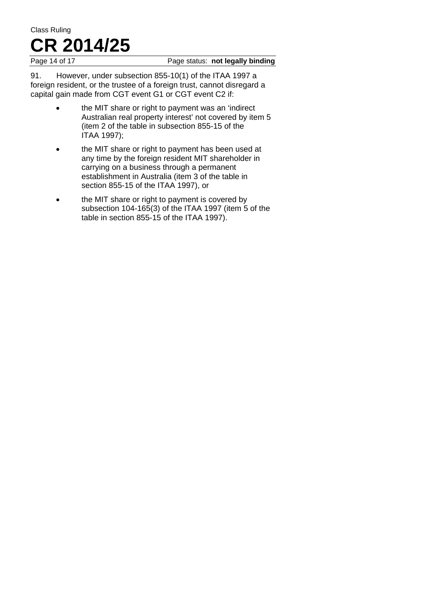#### Page 14 of 17 **Page status: not legally binding**

91. However, under subsection 855-10(1) of the ITAA 1997 a foreign resident, or the trustee of a foreign trust, cannot disregard a capital gain made from CGT event G1 or CGT event C2 if:

- the MIT share or right to payment was an 'indirect Australian real property interest' not covered by item 5 (item 2 of the table in subsection 855-15 of the ITAA 1997);
- the MIT share or right to payment has been used at any time by the foreign resident MIT shareholder in carrying on a business through a permanent establishment in Australia (item 3 of the table in section 855-15 of the ITAA 1997), or
- the MIT share or right to payment is covered by subsection 104-165(3) of the ITAA 1997 (item 5 of the table in section 855-15 of the ITAA 1997).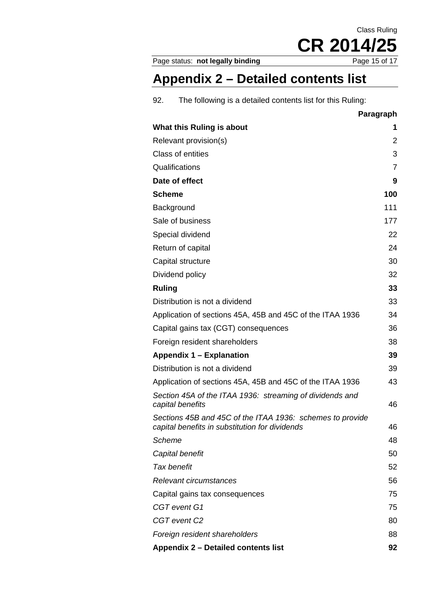Page status: not legally binding

# **Appendix 2 – Detailed contents list**

92. The following is a detailed contents list for this Ruling:

|                                                                                                             | Paragraph      |
|-------------------------------------------------------------------------------------------------------------|----------------|
| What this Ruling is about                                                                                   | 1              |
| Relevant provision(s)                                                                                       | 2              |
| <b>Class of entities</b>                                                                                    | 3              |
| Qualifications                                                                                              | $\overline{7}$ |
| Date of effect                                                                                              | 9              |
| <b>Scheme</b>                                                                                               | 100            |
| Background                                                                                                  | 111            |
| Sale of business                                                                                            | 177            |
| Special dividend                                                                                            | 22             |
| Return of capital                                                                                           | 24             |
| Capital structure                                                                                           | 30             |
| Dividend policy                                                                                             | 32             |
| <b>Ruling</b>                                                                                               | 33             |
| Distribution is not a dividend                                                                              | 33             |
| Application of sections 45A, 45B and 45C of the ITAA 1936                                                   | 34             |
| Capital gains tax (CGT) consequences                                                                        | 36             |
| Foreign resident shareholders                                                                               | 38             |
| Appendix 1 – Explanation                                                                                    | 39             |
| Distribution is not a dividend                                                                              | 39             |
| Application of sections 45A, 45B and 45C of the ITAA 1936                                                   | 43             |
| Section 45A of the ITAA 1936: streaming of dividends and<br>capital benefits                                | 46             |
| Sections 45B and 45C of the ITAA 1936: schemes to provide<br>capital benefits in substitution for dividends | 46             |
| Scheme                                                                                                      | 48             |
| Capital benefit                                                                                             | 50             |
| Tax benefit                                                                                                 | 52             |
| Relevant circumstances                                                                                      | 56             |
| Capital gains tax consequences                                                                              | 75             |
| CGT event G1                                                                                                | 75             |
| CGT event C2                                                                                                | 80             |
| Foreign resident shareholders                                                                               | 88             |
| Appendix 2 - Detailed contents list                                                                         | 92             |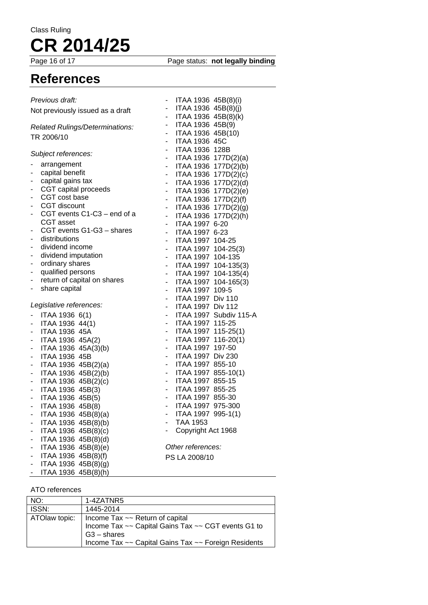Page status: **not legally binding** 

# **References**

| Previous draft:                            | ITAA 1936 45B(8)(i)                                                 |
|--------------------------------------------|---------------------------------------------------------------------|
| Not previously issued as a draft           | ITAA 1936 45B(8)(j)<br>$\qquad \qquad \blacksquare$                 |
|                                            | ITAA 1936 45B(8)(k)<br>-                                            |
| Related Rulings/Determinations:            | ITAA 1936 45B(9)<br>$\overline{\phantom{0}}$                        |
| TR 2006/10                                 | ITAA 1936 45B(10)<br>٠                                              |
|                                            | <b>ITAA 1936 45C</b>                                                |
| Subject references:                        | ITAA 1936 128B<br>٠                                                 |
|                                            | ITAA 1936 177D(2)(a)<br>-                                           |
| arrangement<br>capital benefit             | ITAA 1936 177D(2)(b)<br>۰                                           |
| capital gains tax                          | ITAA 1936 177D(2)(c)<br>-                                           |
| CGT capital proceeds                       | ITAA 1936 177D(2)(d)<br>-                                           |
| CGT cost base                              | ITAA 1936 177D(2)(e)<br>$\overline{\phantom{0}}$                    |
| CGT discount                               | ITAA 1936 177D(2)(f)<br>$\overline{\phantom{a}}$                    |
| CGT events C1-C3 - end of a<br>-           | ITAA 1936 177D(2)(g)<br>$\overline{\phantom{a}}$                    |
| CGT asset                                  | ITAA 1936 177D(2)(h)<br>$\overline{\phantom{a}}$                    |
| CGT events G1-G3 - shares                  | ITAA 1997 6-20<br>÷,                                                |
| distributions<br>۰                         | ITAA 1997 6-23<br>$\overline{\phantom{0}}$                          |
| dividend income<br>-                       | ITAA 1997 104-25<br>$\overline{\phantom{0}}$                        |
| dividend imputation                        | ITAA 1997 104-25(3)<br>$\frac{1}{2}$                                |
| ordinary shares<br>۰                       | ITAA 1997 104-135<br>$\frac{1}{2}$                                  |
| qualified persons                          | ITAA 1997 104-135(3)<br>٠                                           |
| return of capital on shares                | ITAA 1997 104-135(4)<br>$\blacksquare$                              |
| share capital                              | ITAA 1997 104-165(3)<br>$\overline{\phantom{0}}$                    |
|                                            | ITAA 1997 109-5<br>$\overline{\phantom{0}}$                         |
| Legislative references:                    | ITAA 1997 Div 110<br>-                                              |
|                                            | ITAA 1997 Div 112<br>٠                                              |
| ITAA 1936 6(1)                             | ITAA 1997 Subdiv 115-A                                              |
| ITAA 1936 44(1)                            | ITAA 1997 115-25<br>$\overline{\phantom{0}}$                        |
| <b>ITAA 1936 45A</b>                       | ITAA 1997 115-25(1)<br>٠                                            |
| ITAA 1936 45A(2)<br>-                      | ITAA 1997 116-20(1)                                                 |
| ITAA 1936 45A(3)(b)                        | ITAA 1997 197-50<br>٠                                               |
| ITAA 1936 45B                              | ITAA 1997 Div 230<br>٠                                              |
| ITAA 1936 45B(2)(a)<br>٠                   | ITAA 1997 855-10<br>۰<br>-                                          |
| ITAA 1936 45B(2)(b)<br>-                   | ITAA 1997 855-10(1)<br>ITAA 1997 855-15<br>$\overline{\phantom{a}}$ |
| ITAA 1936 45B(2)(c)<br>۰                   | ITAA 1997 855-25<br>$\overline{\phantom{a}}$                        |
| ITAA 1936 45B(3)<br>۰                      | ITAA 1997 855-30<br>-                                               |
| ITAA 1936 45B(5)<br>۰                      | ITAA 1997 975-300<br>-                                              |
| ITAA 1936 45B(8)<br>-                      | <b>ITAA 1997</b><br>$995-1(1)$<br>٠                                 |
| ITAA 1936 45B(8)(a)                        | <b>TAA 1953</b>                                                     |
| ITAA 1936 45B(8)(b)                        |                                                                     |
| ITAA 1936 45B(8)(c)                        | Copyright Act 1968                                                  |
| ITAA 1936 45B(8)(d)                        | Other references:                                                   |
| ITAA 1936 45B(8)(e)<br>ITAA 1936 45B(8)(f) |                                                                     |
|                                            | PS LA 2008/10                                                       |
| ITAA 1936 45B(8)(g)<br>-                   |                                                                     |
| ITAA 1936 45B(8)(h)<br>-                   |                                                                     |

#### ATO references

| NO:           | 1-4ZATNR5                                                                              |
|---------------|----------------------------------------------------------------------------------------|
| ISSN:         | 1445-2014                                                                              |
| ATOlaw topic: | Income Tax ~~ Return of capital<br>Income Tax ~~ Capital Gains Tax ~~ CGT events G1 to |
|               |                                                                                        |
|               | $G3 - shares$                                                                          |
|               | Income Tax ~~ Capital Gains Tax ~~ Foreign Residents                                   |